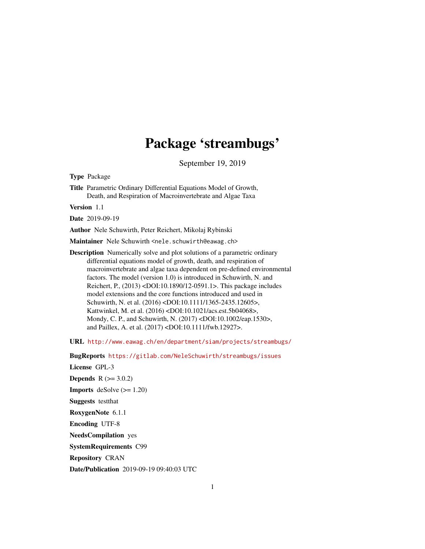## Package 'streambugs'

September 19, 2019

<span id="page-0-0"></span>Type Package

Title Parametric Ordinary Differential Equations Model of Growth, Death, and Respiration of Macroinvertebrate and Algae Taxa

Version 1.1

Date 2019-09-19

Author Nele Schuwirth, Peter Reichert, Mikolaj Rybinski

Maintainer Nele Schuwirth <nele.schuwirth@eawag.ch>

Description Numerically solve and plot solutions of a parametric ordinary differential equations model of growth, death, and respiration of macroinvertebrate and algae taxa dependent on pre-defined environmental factors. The model (version 1.0) is introduced in Schuwirth, N. and Reichert, P., (2013) <DOI:10.1890/12-0591.1>. This package includes model extensions and the core functions introduced and used in Schuwirth, N. et al. (2016) <DOI:10.1111/1365-2435.12605>, Kattwinkel, M. et al. (2016) <DOI:10.1021/acs.est.5b04068>, Mondy, C. P., and Schuwirth, N. (2017) <DOI:10.1002/eap.1530>, and Paillex, A. et al. (2017) <DOI:10.1111/fwb.12927>.

URL <http://www.eawag.ch/en/department/siam/projects/streambugs/>

BugReports <https://gitlab.com/NeleSchuwirth/streambugs/issues>

License GPL-3 **Depends**  $R (= 3.0.2)$ **Imports** deSolve  $(>= 1.20)$ Suggests testthat RoxygenNote 6.1.1 Encoding UTF-8 NeedsCompilation yes SystemRequirements C99 Repository CRAN Date/Publication 2019-09-19 09:40:03 UTC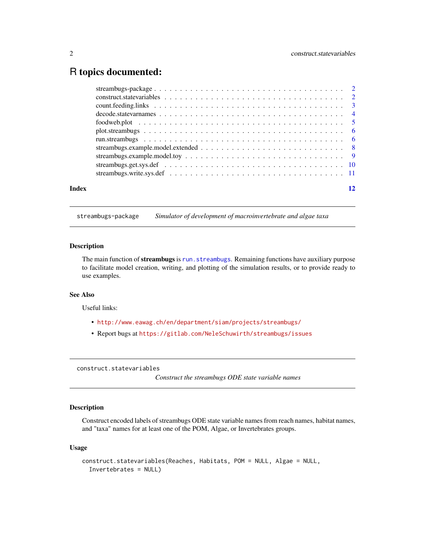## <span id="page-1-0"></span>R topics documented:

| Index |  |
|-------|--|
|       |  |
|       |  |
|       |  |
|       |  |
|       |  |
|       |  |
|       |  |
|       |  |
|       |  |
|       |  |
|       |  |

#### streambugs-package *Simulator of development of macroinvertebrate and algae taxa*

## Description

The main function of streambugs is [run.streambugs](#page-5-1). Remaining functions have auxiliary purpose to facilitate model creation, writing, and plotting of the simulation results, or to provide ready to use examples.

## See Also

Useful links:

- <http://www.eawag.ch/en/department/siam/projects/streambugs/>
- Report bugs at <https://gitlab.com/NeleSchuwirth/streambugs/issues>

construct.statevariables

*Construct the streambugs ODE state variable names*

## Description

Construct encoded labels of streambugs ODE state variable names from reach names, habitat names, and "taxa" names for at least one of the POM, Algae, or Invertebrates groups.

#### Usage

```
construct.statevariables(Reaches, Habitats, POM = NULL, Algae = NULL,
  Invertebrates = NULL)
```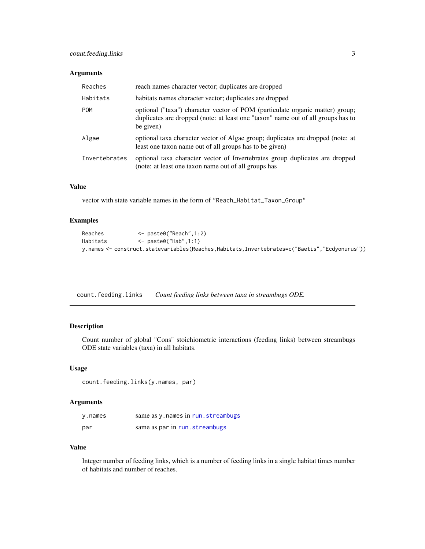## <span id="page-2-0"></span>Arguments

| Reaches       | reach names character vector; duplicates are dropped                                                                                                                           |
|---------------|--------------------------------------------------------------------------------------------------------------------------------------------------------------------------------|
| Habitats      | habitats names character vector; duplicates are dropped                                                                                                                        |
| <b>POM</b>    | optional ("taxa") character vector of POM (particulate organic matter) group;<br>duplicates are dropped (note: at least one "taxon" name out of all groups has to<br>be given) |
| Algae         | optional taxa character vector of Algae group; duplicates are dropped (note: at<br>least one taxon name out of all groups has to be given)                                     |
| Invertebrates | optional taxa character vector of Invertebrates group duplicates are dropped<br>(note: at least one taxon name out of all groups has                                           |

## Value

vector with state variable names in the form of "Reach\_Habitat\_Taxon\_Group"

## Examples

| Reaches  | $\leq$ paste0("Reach",1:2)                                                                   |
|----------|----------------------------------------------------------------------------------------------|
| Habitats | <− paste0("Hab",1:1)                                                                         |
|          | y.names <- construct.statevariables(Reaches,Habitats,Invertebrates=c("Baetis","Ecdyonurus")) |

count.feeding.links *Count feeding links between taxa in streambugs ODE.*

## Description

Count number of global "Cons" stoichiometric interactions (feeding links) between streambugs ODE state variables (taxa) in all habitats.

## Usage

count.feeding.links(y.names, par)

## Arguments

| y.names | same as y. names in run. streambugs |
|---------|-------------------------------------|
| par     | same as par in run.streambugs       |

## Value

Integer number of feeding links, which is a number of feeding links in a single habitat times number of habitats and number of reaches.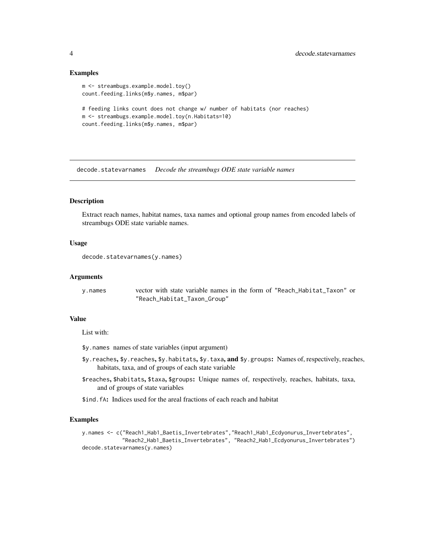#### Examples

```
m <- streambugs.example.model.toy()
count.feeding.links(m$y.names, m$par)
# feeding links count does not change w/ number of habitats (nor reaches)
m <- streambugs.example.model.toy(n.Habitats=10)
count.feeding.links(m$y.names, m$par)
```
<span id="page-3-1"></span>decode.statevarnames *Decode the streambugs ODE state variable names*

#### Description

Extract reach names, habitat names, taxa names and optional group names from encoded labels of streambugs ODE state variable names.

## Usage

```
decode.statevarnames(y.names)
```
#### Arguments

```
y.names vector with state variable names in the form of "Reach_Habitat_Taxon" or
               "Reach_Habitat_Taxon_Group"
```
## Value

List with:

- \$y.names names of state variables (input argument)
- \$y.reaches, \$y.reaches, \$y.habitats, \$y.taxa, and \$y.groups: Names of, respectively, reaches, habitats, taxa, and of groups of each state variable
- \$reaches, \$habitats, \$taxa, \$groups: Unique names of, respectively, reaches, habitats, taxa, and of groups of state variables

\$ind.fA: Indices used for the areal fractions of each reach and habitat

#### Examples

y.names <- c("Reach1\_Hab1\_Baetis\_Invertebrates","Reach1\_Hab1\_Ecdyonurus\_Invertebrates", "Reach2\_Hab1\_Baetis\_Invertebrates", "Reach2\_Hab1\_Ecdyonurus\_Invertebrates") decode.statevarnames(y.names)

<span id="page-3-0"></span>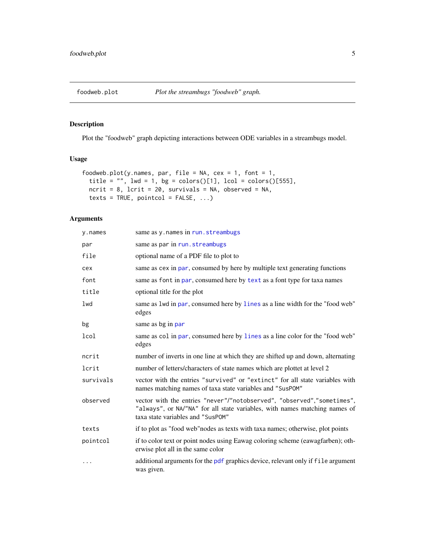<span id="page-4-0"></span>

## Description

Plot the "foodweb" graph depicting interactions between ODE variables in a streambugs model.

#### Usage

```
foodweb.plot(y.names, par, file = NA, cex = 1, font = 1,
  title = "", lwd = 1, bg = colors()[1], lcol = colors()[555],
  ncrit = 8, lcrit = 20, survivals = NA, observed = NA,
  text s = TRUE, pointcol = FALSE, ...)
```
## Arguments

| y.names   | same as y. names in run. streambugs                                                                                                                                                       |
|-----------|-------------------------------------------------------------------------------------------------------------------------------------------------------------------------------------------|
| par       | same as par in run. streambugs                                                                                                                                                            |
| file      | optional name of a PDF file to plot to                                                                                                                                                    |
| cex       | same as cex in par, consumed by here by multiple text generating functions                                                                                                                |
| font      | same as font in par, consumed here by text as a font type for taxa names                                                                                                                  |
| title     | optional title for the plot                                                                                                                                                               |
| lwd       | same as 1wd in par, consumed here by lines as a line width for the "food web"<br>edges                                                                                                    |
| bg        | same as bg in par                                                                                                                                                                         |
| lcol      | same as col in par, consumed here by lines as a line color for the "food web"<br>edges                                                                                                    |
| ncrit     | number of inverts in one line at which they are shifted up and down, alternating                                                                                                          |
| lcrit     | number of letters/characters of state names which are plottet at level 2                                                                                                                  |
| survivals | vector with the entries "survived" or "extinct" for all state variables with<br>names matching names of taxa state variables and "SusPOM"                                                 |
| observed  | vector with the entries "never"/"notobserved", "observed","sometimes",<br>"always", or NA/"NA" for all state variables, with names matching names of<br>taxa state variables and "SusPOM" |
| texts     | if to plot as "food web" nodes as texts with taxa names; otherwise, plot points                                                                                                           |
| pointcol  | if to color text or point nodes using Eawag coloring scheme (eawagfarben); oth-<br>erwise plot all in the same color                                                                      |
| .         | additional arguments for the pdf graphics device, relevant only if file argument<br>was given.                                                                                            |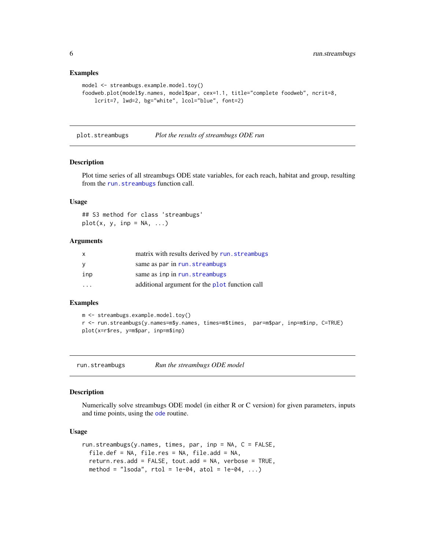#### Examples

```
model <- streambugs.example.model.toy()
foodweb.plot(model$y.names, model$par, cex=1.1, title="complete foodweb", ncrit=8,
   lcrit=7, lwd=2, bg="white", lcol="blue", font=2)
```
plot.streambugs *Plot the results of streambugs ODE run*

#### **Description**

Plot time series of all streambugs ODE state variables, for each reach, habitat and group, resulting from the [run.streambugs](#page-5-1) function call.

#### Usage

## S3 method for class 'streambugs'  $plot(x, y, inp = NA, ...)$ 

#### Arguments

| X   | matrix with results derived by run.streambugs  |
|-----|------------------------------------------------|
| y   | same as par in run. streambugs                 |
| inp | same as inp in run. streambugs                 |
| .   | additional argument for the plot function call |

#### Examples

```
m <- streambugs.example.model.toy()
r <- run.streambugs(y.names=m$y.names, times=m$times, par=m$par, inp=m$inp, C=TRUE)
plot(x=r$res, y=m$par, inp=m$inp)
```
<span id="page-5-1"></span>run.streambugs *Run the streambugs ODE model*

## Description

Numerically solve streambugs ODE model (in either R or C version) for given parameters, inputs and time points, using the [ode](#page-0-0) routine.

#### Usage

```
run.streambugs(y.names, times, par, inp = NA, C = FALSE,
 file.def = NA, file.res = NA, file.add = NA,
  return.res.add = FALSE, tout.add = NA, verbose = TRUE,
 method = "lsoda", rtol = 1e-04, atol = 1e-04, ...)
```
<span id="page-5-0"></span>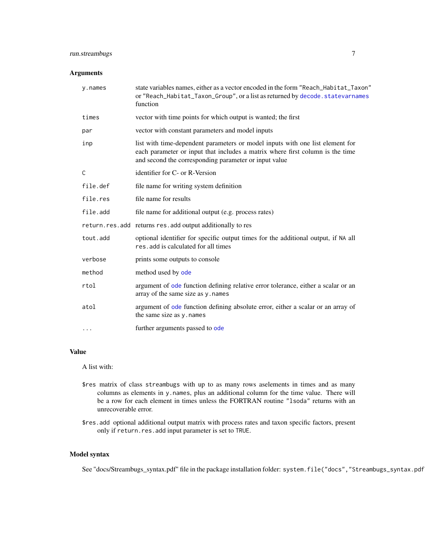## <span id="page-6-0"></span>run.streambugs 7

## Arguments

| y.names      | state variables names, either as a vector encoded in the form "Reach_Habitat_Taxon"<br>or "Reach_Habitat_Taxon_Group", or a list as returned by decode.statevarnames<br>function                                        |
|--------------|-------------------------------------------------------------------------------------------------------------------------------------------------------------------------------------------------------------------------|
| times        | vector with time points for which output is wanted; the first                                                                                                                                                           |
| par          | vector with constant parameters and model inputs                                                                                                                                                                        |
| inp          | list with time-dependent parameters or model inputs with one list element for<br>each parameter or input that includes a matrix where first column is the time<br>and second the corresponding parameter or input value |
| $\mathsf{C}$ | identifier for C- or R-Version                                                                                                                                                                                          |
| file.def     | file name for writing system definition                                                                                                                                                                                 |
| file.res     | file name for results                                                                                                                                                                                                   |
| file.add     | file name for additional output (e.g. process rates)                                                                                                                                                                    |
|              | return.res.add returns res.add output additionally to res                                                                                                                                                               |
| tout.add     | optional identifier for specific output times for the additional output, if NA all<br>res.add is calculated for all times                                                                                               |
| verbose      | prints some outputs to console                                                                                                                                                                                          |
| method       | method used by ode                                                                                                                                                                                                      |
| rtol         | argument of ode function defining relative error tolerance, either a scalar or an<br>array of the same size as y. names                                                                                                 |
| atol         | argument of ode function defining absolute error, either a scalar or an array of<br>the same size as y. names                                                                                                           |
| $\cdots$     | further arguments passed to ode                                                                                                                                                                                         |

## Value

A list with:

- \$res matrix of class streambugs with up to as many rows aselements in times and as many columns as elements in y.names, plus an additional column for the time value. There will be a row for each element in times unless the FORTRAN routine "lsoda" returns with an unrecoverable error.
- \$res.add optional additional output matrix with process rates and taxon specific factors, present only if return.res.add input parameter is set to TRUE.

## Model syntax

See "docs/Streambugs\_syntax.pdf" file in the package installation folder: system.file("docs","Streambugs\_syntax.pdf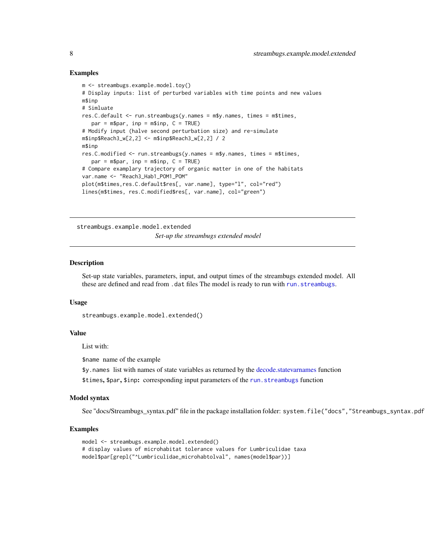#### Examples

```
m <- streambugs.example.model.toy()
# Display inputs: list of perturbed variables with time points and new values
m$inp
# Simluate
res.C.default <- run.streambugs(y.names = m$y.names, times = m$times,
   par = m$par, inp = m$inp, C = TRUE)# Modify input (halve second perturbation size) and re-simulate
m$inp$Reach3_w[2,2] <- m$inp$Reach3_w[2,2] / 2
m$inp
res.C.modified <- run.streambugs(y.names = m$y.names, times = m$times,
   par = m$par, inp = m$inp, C = TRUE)# Compare examplary trajectory of organic matter in one of the habitats
var.name <- "Reach3_Hab1_POM1_POM"
plot(m$times,res.C.default$res[, var.name], type="l", col="red")
lines(m$times, res.C.modified$res[, var.name], col="green")
```
streambugs.example.model.extended

*Set-up the streambugs extended model*

#### Description

Set-up state variables, parameters, input, and output times of the streambugs extended model. All these are defined and read from .dat files The model is ready to run with [run.streambugs](#page-5-1).

#### Usage

```
streambugs.example.model.extended()
```
#### Value

List with:

\$name name of the example

\$y.names list with names of state variables as returned by the [decode.statevarnames](#page-3-1) function

\$times, \$par, \$inp: corresponding input parameters of the [run.streambugs](#page-5-1) function

#### Model syntax

See "docs/Streambugs\_syntax.pdf" file in the package installation folder: system.file("docs", "Streambugs\_syntax.pdf

```
model <- streambugs.example.model.extended()
# display values of microhabitat tolerance values for Lumbriculidae taxa
model$par[grepl("^Lumbriculidae_microhabtolval", names(model$par))]
```
<span id="page-7-0"></span>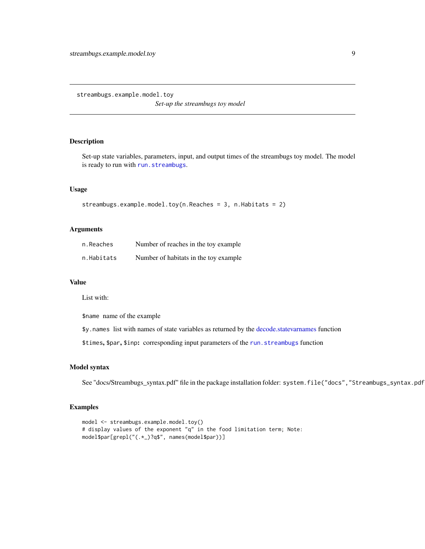<span id="page-8-0"></span>streambugs.example.model.toy

*Set-up the streambugs toy model*

## Description

Set-up state variables, parameters, input, and output times of the streambugs toy model. The model is ready to run with [run.streambugs](#page-5-1).

#### Usage

```
streambugs.example.model.toy(n.Reaches = 3, n.Habitats = 2)
```
## Arguments

| n.Reaches  | Number of reaches in the toy example.  |
|------------|----------------------------------------|
| n.Habitats | Number of habitats in the toy example. |

## Value

List with:

\$name name of the example

\$y.names list with names of state variables as returned by the [decode.statevarnames](#page-3-1) function

\$times, \$par, \$inp: corresponding input parameters of the [run.streambugs](#page-5-1) function

#### Model syntax

See "docs/Streambugs\_syntax.pdf" file in the package installation folder: system.file("docs", "Streambugs\_syntax.pdf

```
model <- streambugs.example.model.toy()
# display values of the exponent "q" in the food limitation term; Note:
model$par[grepl("(.*_)?q$", names(model$par))]
```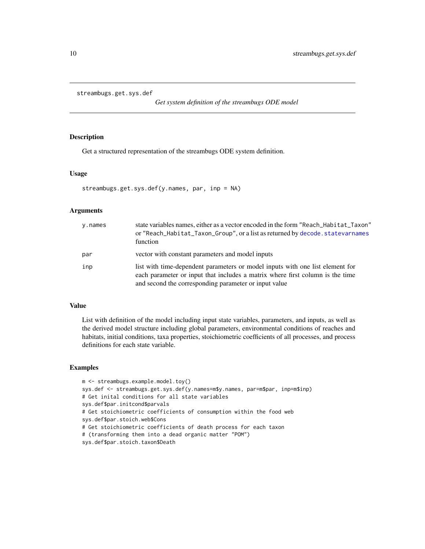```
streambugs.get.sys.def
```
*Get system definition of the streambugs ODE model*

## Description

Get a structured representation of the streambugs ODE system definition.

#### Usage

```
streambugs.get.sys.def(y.names, par, inp = NA)
```
#### Arguments

| y.names | state variables names, either as a vector encoded in the form "Reach_Habitat_Taxon"<br>or "Reach_Habitat_Taxon_Group", or a list as returned by decode. statevarnames<br>function                                       |
|---------|-------------------------------------------------------------------------------------------------------------------------------------------------------------------------------------------------------------------------|
| par     | vector with constant parameters and model inputs                                                                                                                                                                        |
| inp     | list with time-dependent parameters or model inputs with one list element for<br>each parameter or input that includes a matrix where first column is the time<br>and second the corresponding parameter or input value |

## Value

List with definition of the model including input state variables, parameters, and inputs, as well as the derived model structure including global parameters, environmental conditions of reaches and habitats, initial conditions, taxa properties, stoichiometric coefficients of all processes, and process definitions for each state variable.

```
m <- streambugs.example.model.toy()
sys.def <- streambugs.get.sys.def(y.names=m$y.names, par=m$par, inp=m$inp)
# Get inital conditions for all state variables
sys.def$par.initcond$parvals
# Get stoichiometric coefficients of consumption within the food web
sys.def$par.stoich.web$Cons
# Get stoichiometric coefficients of death process for each taxon
# (transforming them into a dead organic matter "POM")
sys.def$par.stoich.taxon$Death
```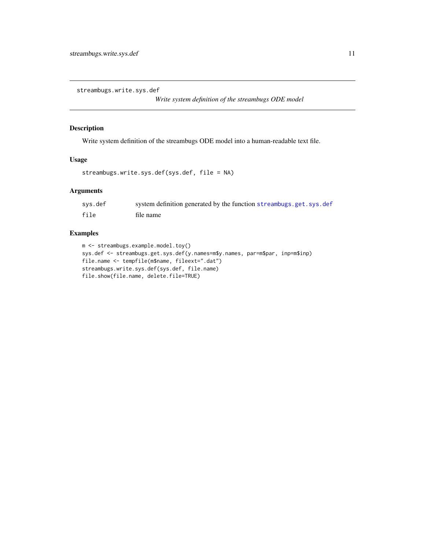<span id="page-10-0"></span>streambugs.write.sys.def

*Write system definition of the streambugs ODE model*

## Description

Write system definition of the streambugs ODE model into a human-readable text file.

## Usage

```
streambugs.write.sys.def(sys.def, file = NA)
```
## Arguments

| sys.def | system definition generated by the function streambugs.get.sys.def |
|---------|--------------------------------------------------------------------|
| file    | file name                                                          |

```
m <- streambugs.example.model.toy()
sys.def <- streambugs.get.sys.def(y.names=m$y.names, par=m$par, inp=m$inp)
file.name <- tempfile(m$name, fileext=".dat")
streambugs.write.sys.def(sys.def, file.name)
file.show(file.name, delete.file=TRUE)
```